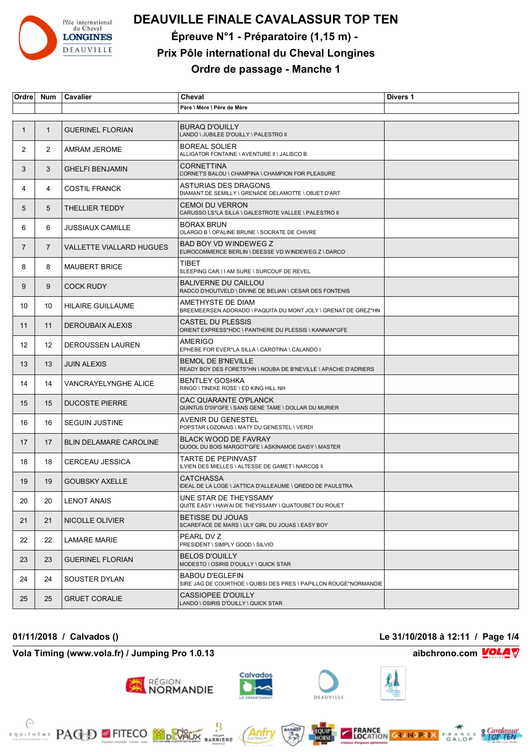

# **DEAUVILLE FINALE CAVALASSUR TOP TEN**

**Épreuve N°1 - Préparatoire (1,15 m) -** 

### **Prix Pôle international du Cheval Longines**

**Ordre de passage - Manche 1**

| Ordre       | <b>Num</b>     | Cavalier                      | Cheval                                                                                       | Divers 1 |
|-------------|----------------|-------------------------------|----------------------------------------------------------------------------------------------|----------|
|             |                |                               | Père \ Mère \ Père de Mère                                                                   |          |
| $\mathbf 1$ | $\mathbf{1}$   | <b>GUERINEL FLORIAN</b>       | <b>BURAQ D'OUILLY</b><br>LANDO \ JUBILEE D'OUILLY \ PALESTRO II                              |          |
| 2           | $\overline{2}$ | AMRAM JEROME                  | <b>BOREAL SOLIER</b><br>ALLIGATOR FONTAINE \ AVENTURE II \ JALISCO B                         |          |
| 3           | 3              | <b>GHELFI BENJAMIN</b>        | <b>CORNETTINA</b><br>CORNETS BALOU \ CHAMPINA \ CHAMPION FOR PLEASURE                        |          |
| 4           | 4              | <b>COSTIL FRANCK</b>          | ASTURIAS DES DRAGONS<br>DIAMANT DE SEMILLY \ GRENADE DELAMOTTE \ OBJET D'ART                 |          |
| 5           | 5              | <b>THELLIER TEDDY</b>         | <b>CEMOI DU VERRON</b><br>CARUSSO LS*LA SILLA \ GALESTROTE VALLEE \ PALESTRO II              |          |
| 6           | 6              | <b>JUSSIAUX CAMILLE</b>       | <b>BORAX BRUN</b><br>OLARGO B \ OPALINE BRUNE \ SOCRATE DE CHIVRE                            |          |
| 7           | $\overline{7}$ | VALLETTE VIALLARD HUGUES      | BAD BOY VD WINDEWEG Z<br>EUROCOMMERCE BERLIN \ DEESSE VD WINDEWEG Z \ DARCO                  |          |
| 8           | 8              | <b>MAUBERT BRICE</b>          | TIBET<br>SLEEPING CAR \ I AM SURE \ SURCOUF DE REVEL                                         |          |
| 9           | 9              | <b>COCK RUDY</b>              | <b>BALIVERNE DU CAILLOU</b><br>RADCO D'HOUTVELD \ DIVINE DE BELIAN \ CESAR DES FONTENIS      |          |
| 10          | 10             | <b>HILAIRE GUILLAUME</b>      | AMETHYSTE DE DIAM<br>BREEMEERSEN ADORADO \ PAQUITA DU MONT JOLY \ GRENAT DE GREZ*HN          |          |
| 11          | 11             | DEROUBAIX ALEXIS              | CASTEL DU PLESSIS<br>ORIENT EXPRESS*HDC \ PANTHERE DU PLESSIS \ KANNAN*GFE                   |          |
| 12          | 12             | <b>DEROUSSEN LAUREN</b>       | AMERIGO<br>EPHEBE FOR EVER*LA SILLA \ CAROTINA \ CALANDO I                                   |          |
| 13          | 13             | <b>JUIN ALEXIS</b>            | <b>BEMOL DE B'NEVILLE</b><br>READY BOY DES FORETS*HN \ NOUBA DE B'NEVILLE \ APACHE D'ADRIERS |          |
| 14          | 14             | VANCRAYELYNGHE ALICE          | <b>BENTLEY GOSHKA</b><br>RINGO \ TINEKE ROSE \ ED KING HILL NH                               |          |
| 15          | 15             | <b>DUCOSTE PIERRE</b>         | CAC QUARANTE O'PLANCK<br>QUINTUS D'09*GFE \ SANS GENE TAME \ DOLLAR DU MURIER                |          |
| 16          | 16             | <b>SEGUIN JUSTINE</b>         | AVENIR DU GENESTEL<br>POPSTAR LOZONAIS \ MATY DU GENESTEL \ VERDI                            |          |
| 17          | 17             | <b>BLIN DELAMARE CAROLINE</b> | <b>BLACK WOOD DE FAVRAY</b><br>QUOOL DU BOIS MARGOT*GFE \ ASKINAMOE DAISY \ MASTER           |          |
| 18          | 18             | <b>CERCEAU JESSICA</b>        | <b>TARTE DE PEPINVAST</b><br>ILVIEN DES MIELLES \ ALTESSE DE GAMET \ NARCOS II               |          |
| 19          | 19             | <b>GOUBSKY AXELLE</b>         | <b>CATCHASSA</b><br>IDEAL DE LA LOGE \ JATTICA D'ALLEAUME \ QREDO DE PAULSTRA                |          |
| 20          | 20             | <b>LENOT ANAIS</b>            | UNE STAR DE THEYSSAMY<br>QUITE EASY \ HAWAI DE THEYSSAMY \ QUATOUBET DU ROUET                |          |
| 21          | 21             | NICOLLE OLIVIER               | <b>BETISSE DU JOUAS</b><br>SCAREFACE DE MARS \ ULY GIRL DU JOUAS \ EASY BOY                  |          |
| 22          | 22             | LAMARE MARIE                  | PEARL DV Z<br>PRESIDENT \ SIMPLY GOOD \ SILVIO                                               |          |
| 23          | 23             | <b>GUERINEL FLORIAN</b>       | <b>BELOS D'OUILLY</b><br>MODESTO \ OSIRIS D'OUILLY \ QUICK STAR                              |          |
| 24          | 24             | SOUSTER DYLAN                 | <b>BABOU D'EGLEFIN</b><br>SIRE JAG DE COURTHOE \ QUIBSI DES PRES \ PAPILLON ROUGE*NORMANDIE  |          |
| 25          | 25             | <b>GRUET CORALIE</b>          | CASSIOPEE D'OUILLY<br>LANDO \ OSIRIS D'OUILLY \ QUICK STAR                                   |          |

**Vola Timing (www.vola.fr) / Jumping Pro 1.0.13 aibchrono.com**  $\underline{\text{VOLA}}$ 

**EXAMPLE PACED FITECO MODERATION** 



₿

**BARRIERE** 



Anfr





### **01/11/2018 / Calvados () Le 31/10/2018 à 12:11 / Page 1/4**

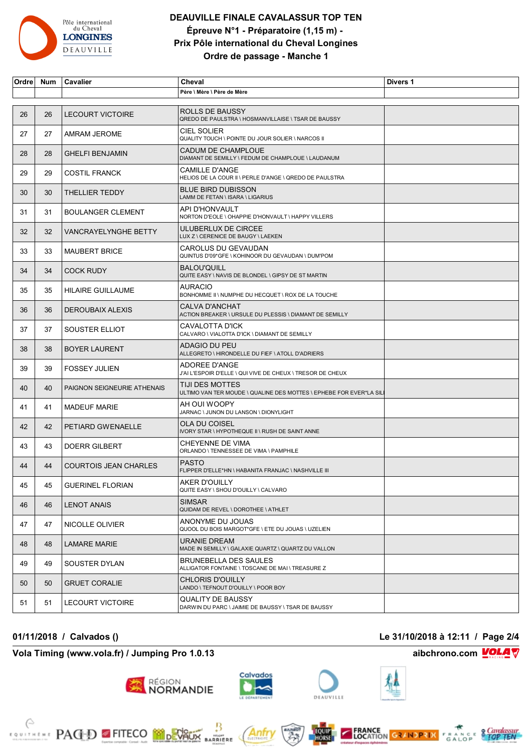

## **DEAUVILLE FINALE CAVALASSUR TOP TEN Épreuve N°1 - Préparatoire (1,15 m) - Prix Pôle international du Cheval Longines Ordre de passage - Manche 1**

| Ordre | Num | Cavalier                     | Cheval                                                                                 | Divers 1 |
|-------|-----|------------------------------|----------------------------------------------------------------------------------------|----------|
|       |     |                              | Père \ Mère \ Père de Mère                                                             |          |
| 26    | 26  | <b>LECOURT VICTOIRE</b>      | ROLLS DE BAUSSY<br>QREDO DE PAULSTRA \ HOSMANVILLAISE \ TSAR DE BAUSSY                 |          |
| 27    | 27  | AMRAM JEROME                 | <b>CIEL SOLIER</b><br>QUALITY TOUCH \ POINTE DU JOUR SOLIER \ NARCOS II                |          |
| 28    | 28  | <b>GHELFI BENJAMIN</b>       | CADUM DE CHAMPLOUE<br>DIAMANT DE SEMILLY \ FEDUM DE CHAMPLOUE \ LAUDANUM               |          |
| 29    | 29  | <b>COSTIL FRANCK</b>         | <b>CAMILLE D'ANGE</b><br>HELIOS DE LA COUR II \ PERLE D'ANGE \ QREDO DE PAULSTRA       |          |
| 30    | 30  | THELLIER TEDDY               | <b>BLUE BIRD DUBISSON</b><br>LAMM DE FETAN \ ISARA \ LIGARIUS                          |          |
| 31    | 31  | <b>BOULANGER CLEMENT</b>     | API D'HONVAULT<br>NORTON D'EOLE \ OHAPPIE D'HONVAULT \ HAPPY VILLERS                   |          |
| 32    | 32  | <b>VANCRAYELYNGHE BETTY</b>  | ULUBERLUX DE CIRCEE<br>LUX Z \ CERENICE DE BAUGY \ LAEKEN                              |          |
| 33    | 33  | <b>MAUBERT BRICE</b>         | CAROLUS DU GEVAUDAN<br>QUINTUS D'09*GFE \ KOHINOOR DU GEVAUDAN \ DUM'POM               |          |
| 34    | 34  | <b>COCK RUDY</b>             | <b>BALOU'QUILL</b><br>QUITE EASY \ NAVIS DE BLONDEL \ GIPSY DE ST MARTIN               |          |
| 35    | 35  | <b>HILAIRE GUILLAUME</b>     | <b>AURACIO</b><br>BONHOMME II \ NUMPHE DU HECQUET \ ROX DE LA TOUCHE                   |          |
| 36    | 36  | <b>DEROUBAIX ALEXIS</b>      | CALVA D'ANCHAT<br>ACTION BREAKER \ URSULE DU PLESSIS \ DIAMANT DE SEMILLY              |          |
| 37    | 37  | SOUSTER ELLIOT               | CAVALOTTA D'ICK<br>CALVARO \ VIALOTTA D'ICK \ DIAMANT DE SEMILLY                       |          |
| 38    | 38  | <b>BOYER LAURENT</b>         | ADAGIO DU PEU<br>ALLEGRETO \ HIRONDELLE DU FIEF \ ATOLL D'ADRIERS                      |          |
| 39    | 39  | <b>FOSSEY JULIEN</b>         | ADOREE D'ANGE<br>J'AI L'ESPOIR D'ELLE \ QUI VIVE DE CHEUX \ TRESOR DE CHEUX            |          |
| 40    | 40  | PAIGNON SEIGNEURIE ATHENAIS  | TIJI DES MOTTES<br>ULTIMO VAN TER MOUDE \ QUALINE DES MOTTES \ EPHEBE FOR EVER*LA SILI |          |
| 41    | 41  | <b>MADEUF MARIE</b>          | AH OUI WOOPY<br>JARNAC \ JUNON DU LANSON \ DIONYLIGHT                                  |          |
| 42    | 42  | PETIARD GWENAELLE            | <b>OLA DU COISEL</b><br>IVORY STAR \ HYPOTHEQUE II \ RUSH DE SAINT ANNE                |          |
| 43    | 43  | <b>DOERR GILBERT</b>         | CHEYENNE DE VIMA<br>ORLANDO \ TENNESSEE DE VIMA \ PAMPHILE                             |          |
| 44    | 44  | <b>COURTOIS JEAN CHARLES</b> | <b>PASTO</b><br>FLIPPER D'ELLE*HN \ HABANITA FRANJAC \ NASHVILLE III                   |          |
| 45    | 45  | <b>GUERINEL FLORIAN</b>      | <b>AKER D'OUILLY</b><br>QUITE EASY \ SHOU D'OUILLY \ CALVARO                           |          |
| 46    | 46  | <b>LENOT ANAIS</b>           | <b>SIMSAR</b><br>QUIDAM DE REVEL \ DOROTHEE \ ATHLET                                   |          |
| 47    | 47  | <b>NICOLLE OLIVIER</b>       | ANONYME DU JOUAS<br>QUOOL DU BOIS MARGOT*GFE \ ETE DU JOUAS \ UZELIEN                  |          |
| 48    | 48  | LAMARE MARIE                 | URANIE DREAM<br>MADE IN SEMILLY \ GALAXIE QUARTZ \ QUARTZ DU VALLON                    |          |
| 49    | 49  | SOUSTER DYLAN                | <b>BRUNEBELLA DES SAULES</b><br>ALLIGATOR FONTAINE \ TOSCANE DE MAI \ TREASURE Z       |          |
| 50    | 50  | <b>GRUET CORALIE</b>         | <b>CHLORIS D'OUILLY</b><br>LANDO \ TEFNOUT D'OUILLY \ POOR BOY                         |          |
| 51    | 51  | LECOURT VICTOIRE             | QUALITY DE BAUSSY<br>DARWIN DU PARC \ JAIMIE DE BAUSSY \ TSAR DE BAUSSY                |          |

### **01/11/2018 / Calvados () Le 31/10/2018 à 12:11 / Page 2/4**

### **Vola Timing (www.vola.fr) / Jumping Pro 1.0.13 aibchrono.com VOLA**









**MARRIERE** 

RÉGION<br>NORMANDIE







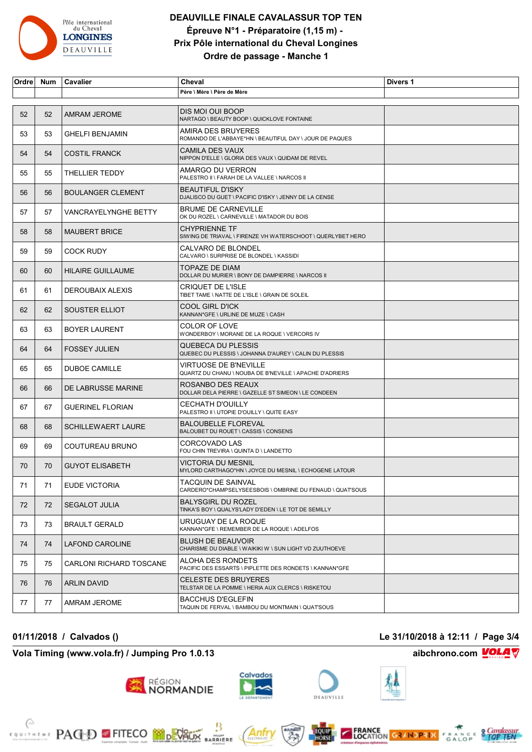

## **DEAUVILLE FINALE CAVALASSUR TOP TEN Épreuve N°1 - Préparatoire (1,15 m) - Prix Pôle international du Cheval Longines Ordre de passage - Manche 1**

| Ordre | <b>Num</b> | Cavalier                       | Cheval                                                                                | Divers 1 |
|-------|------------|--------------------------------|---------------------------------------------------------------------------------------|----------|
|       |            |                                | Père \ Mère \ Père de Mère                                                            |          |
| 52    | 52         | AMRAM JEROME                   | DIS MOI OUI BOOP<br>NARTAGO \ BEAUTY BOOP \ QUICKLOVE FONTAINE                        |          |
| 53    | 53         | <b>GHELFI BENJAMIN</b>         | AMIRA DES BRUYERES<br>ROMANDO DE L'ABBAYE*HN \ BEAUTIFUL DAY \ JOUR DE PAQUES         |          |
| 54    | 54         | <b>COSTIL FRANCK</b>           | CAMILA DES VAUX<br>NIPPON D'ELLE \ GLORIA DES VAUX \ QUIDAM DE REVEL                  |          |
| 55    | 55         | <b>THELLIER TEDDY</b>          | AMARGO DU VERRON<br>PALESTRO II \ FARAH DE LA VALLEE \ NARCOS II                      |          |
| 56    | 56         | <b>BOULANGER CLEMENT</b>       | <b>BEAUTIFUL D'ISKY</b><br>DJALISCO DU GUET \ PACIFIC D'ISKY \ JENNY DE LA CENSE      |          |
| 57    | 57         | VANCRAYELYNGHE BETTY           | <b>BRUME DE CARNEVILLE</b><br>OK DU ROZEL \ CARNEVILLE \ MATADOR DU BOIS              |          |
| 58    | 58         | <b>MAUBERT BRICE</b>           | <b>CHYPRIENNE TF</b><br>SIWING DE TRIAVAL \ FIRENZE VH WATERSCHOOT \ QUERLYBET HERO   |          |
| 59    | 59         | <b>COCK RUDY</b>               | CALVARO DE BLONDEL<br>CALVARO \ SURPRISE DE BLONDEL \ KASSIDI                         |          |
| 60    | 60         | <b>HILAIRE GUILLAUME</b>       | TOPAZE DE DIAM<br>DOLLAR DU MURIER \ BONY DE DAMPIERRE \ NARCOS II                    |          |
| 61    | 61         | DEROUBAIX ALEXIS               | <b>CRIQUET DE L'ISLE</b><br>TIBET TAME \ NATTE DE L'ISLE \ GRAIN DE SOLEIL            |          |
| 62    | 62         | SOUSTER ELLIOT                 | COOL GIRL D'ICK<br>KANNAN*GFE \ URLINE DE MUZE \ CASH                                 |          |
| 63    | 63         | <b>BOYER LAURENT</b>           | <b>COLOR OF LOVE</b><br>WONDERBOY \ MORANE DE LA ROQUE \ VERCORS IV                   |          |
| 64    | 64         | <b>FOSSEY JULIEN</b>           | QUEBECA DU PLESSIS<br>QUEBEC DU PLESSIS \ JOHANNA D'AUREY \ CALIN DU PLESSIS          |          |
| 65    | 65         | <b>DUBOE CAMILLE</b>           | VIRTUOSE DE B'NEVILLE<br>QUARTZ DU CHANU \ NOUBA DE B'NEVILLE \ APACHE D'ADRIERS      |          |
| 66    | 66         | DE LABRUSSE MARINE             | ROSANBO DES REAUX<br>DOLLAR DELA PIERRE \ GAZELLE ST SIMEON \ LE CONDEEN              |          |
| 67    | 67         | <b>GUERINEL FLORIAN</b>        | <b>CECHATH D'OUILLY</b><br>PALESTRO II \ UTOPIE D'OUILLY \ QUITE EASY                 |          |
| 68    | 68         | <b>SCHILLEWAERT LAURE</b>      | <b>BALOUBELLE FLOREVAL</b><br>BALOUBET DU ROUET \ CASSIS \ CONSENS                    |          |
| 69    | 69         | COUTUREAU BRUNO                | CORCOVADO LAS<br>FOU CHIN TREVIRA \ QUINTA D \ LANDETTO                               |          |
| 70    | 70         | <b>GUYOT ELISABETH</b>         | VICTORIA DU MESNIL<br>MYLORD CARTHAGO*HN \ JOYCE DU MESNIL \ ECHOGENE LATOUR          |          |
| 71    | 71         | EUDE VICTORIA                  | <b>TACQUIN DE SAINVAL</b><br>CARDERO*CHAMPSELYSEESBOIS \ OMBRINE DU FENAUD \ QUATSOUS |          |
| 72    | 72         | <b>SEGALOT JULIA</b>           | <b>BALYSGIRL DU ROZEL</b><br>TINKA'S BOY \ QUALYS'LADY D'EDEN \ LE TOT DE SEMILLY     |          |
| 73    | 73         | <b>BRAULT GERALD</b>           | URUGUAY DE LA ROQUE<br>KANNAN*GFE \ REMEMBER DE LA ROQUE \ ADELFOS                    |          |
| 74    | 74         | LAFOND CAROLINE                | <b>BLUSH DE BEAUVOIR</b><br>CHARISME DU DIABLE \ WAIKIKI W \ SUN LIGHT VD ZUUTHOEVE   |          |
| 75    | 75         | <b>CARLONI RICHARD TOSCANE</b> | ALOHA DES RONDETS<br>PACIFIC DES ESSARTS \ PIPLETTE DES RONDETS \ KANNAN*GFE          |          |
| 76    | 76         | <b>ARLIN DAVID</b>             | <b>CELESTE DES BRUYERES</b><br>TELSTAR DE LA POMME \ HERIA AUX CLERCS \ RISKETOU      |          |
| 77    | 77         | AMRAM JEROME                   | <b>BACCHUS D'EGLEFIN</b><br>TAQUIN DE FERVAL \ BAMBOU DU MONTMAIN \ QUATSOUS          |          |

### **Vola Timing (www.vola.fr) / Jumping Pro 1.0.13 aibchrono.com VOLA**

**EXAMPLE PACED FITECO MODERATION** 



 $\frac{1}{\sqrt{2}}$ <br>BARRIERE



Anfr





## **01/11/2018 / Calvados () Le 31/10/2018 à 12:11 / Page 3/4**